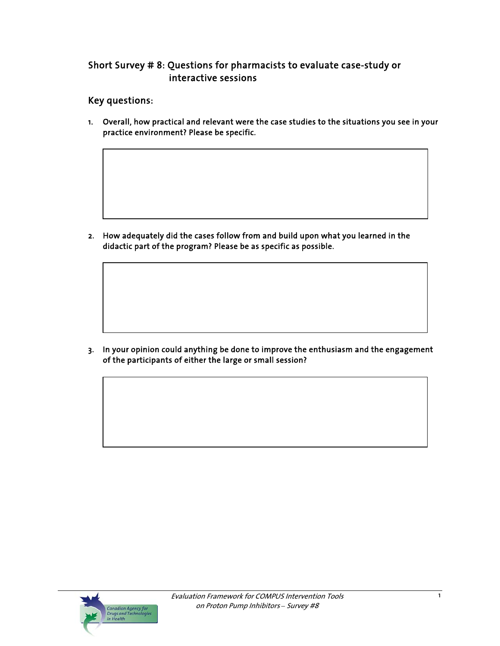# Short Survey # 8: Questions for pharmacists to evaluate case-study or interactive sessions

# Key questions:

1. Overall, how practical and relevant were the case studies to the situations you see in your practice environment? Please be specific.

2. How adequately did the cases follow from and build upon what you learned in the didactic part of the program? Please be as specific as possible.

3. In your opinion could anything be done to improve the enthusiasm and the engagement of the participants of either the large or small session?

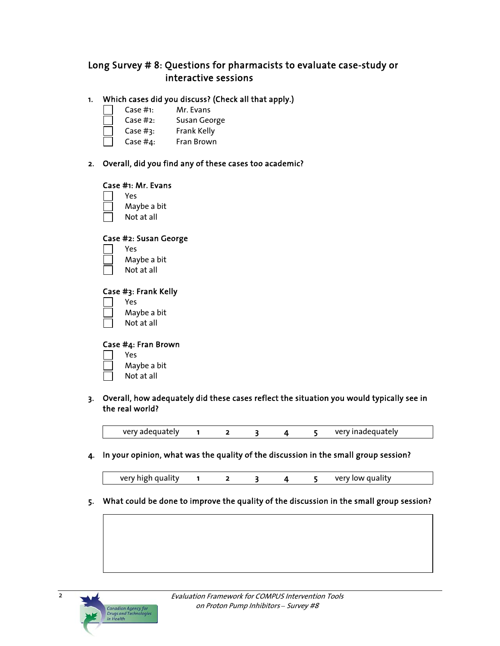# Long Survey # 8: Questions for pharmacists to evaluate case-study or interactive sessions

## 1. Which cases did you discuss? (Check all that apply.)

- Case #1: Mr. Evans
- Case #2: Susan George
- Case #3: Frank Kelly
- Case #4: Fran Brown

### 2. Overall, did you find any of these cases too academic?

#### Case #1: Mr. Evans

Yes

- Maybe a bit
- Not at all

### Case #2: Susan George

- Yes Maybe a bit
	- Not at all

#### Case #3: Frank Kelly

- Yes
- Maybe a bit
- Not at all

### Case #4: Fran Brown

- Yes Maybe a bit
- Not at all

## 3. Overall, how adequately did these cases reflect the situation you would typically see in the real world?

very adequately 1 2 3 4 5 very inadequately

4. In your opinion, what was the quality of the discussion in the small group session?

| very high quality |  |  |  |  |  | very low quality |  |
|-------------------|--|--|--|--|--|------------------|--|
|-------------------|--|--|--|--|--|------------------|--|

5. What could be done to improve the quality of the discussion in the small group session?



2